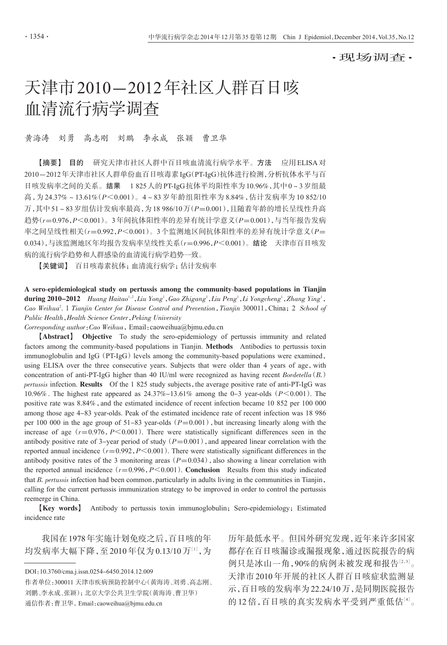·现场调查·

# 天津市2010-2012年社区人群百日咳 血清流行病学调查

#### 黄海涛 刘勇 高志刚 刘鹏 李永成 张颖 曹卫华

【摘要】 目的 研究天津市社区人群中百日咳血清流行病学水平。方法 应用ELISA对 2010-2012年天津市社区人群单份血百日咳毒素IgG(PT-IgG)抗体进行检测,分析抗体水平与百 日咳发病率之间的关系。结果 1 825人的PT-IgG抗体平均阳性率为10.96%,其中0~3岁组最 高,为 24.37%~13.61%(P<0.001)。4~83 岁年龄组阳性率为 8.84%,估计发病率为 10 852/10 万,其中51~83岁组估计发病率最高,为18 986/10万(P=0.001),且随着年龄的增长呈线性升高 趋势(r=0.976,P<0.001)。3年间抗体阳性率的差异有统计学意义(P=0.001),与当年报告发病 率之间呈线性相关 $(r=0.992, P<0.001)$ 。3个监测地区间抗体阳性率的差异有统计学意义 $(P=$ 0.034),与该监测地区年均报告发病率呈线性关系(r=0.996,P<0.001)。结论 天津市百日咳发 病的流行病学趋势和人群感染的血清流行病学趋势一致。

【关键词】 百日咳毒素抗体;血清流行病学;估计发病率

A sero-epidemiological study on pertussis among the community-based populations in Tianjin during  $2010-2012$  Huang Haitao<sup>1,2</sup>, Liu Yong<sup>1</sup>, Gao Zhigang<sup>1</sup>, Liu Peng<sup>1</sup>, Li Yongcheng<sup>1</sup>, Zhang Ying<sup>1</sup>, Cao Weihua<sup>2</sup>. 1 Tianjin Center for Disease Control and Prevention, Tianjin 300011, China; 2 School of Public Health, Health Science Center, Peking University

Corresponding author:Cao Weihua,Email:caoweihua@bjmu.edu.cn

【Abstract】 Objective To study the sero-epidemiology of pertussis immunity and related factors among the community-based populations in Tianjin. Methods Antibodies to pertussis toxin immunoglobulin and IgG ( $PT-IgG$ ) levels among the community-based populations were examined, using ELISA over the three consecutive years. Subjects that were older than 4 years of age, with concentration of anti-PT-IgG higher than 40 IU/ml were recognized as having recent  $Bordetella(B.)$ pertussis infection. Results Of the 1 825 study subjects, the average positive rate of anti-PT-IgG was 10.96%. The highest rate appeared as  $24.37\% - 13.61\%$  among the 0-3 year-olds ( $P \le 0.001$ ). The positive rate was 8.84%, and the estimated incidence of recent infection became 10 852 per 100 000 among those age 4-83 year-olds. Peak of the estimated incidence rate of recent infection was 18 986 per 100 000 in the age group of 51-83 year-olds ( $P=0.001$ ), but increasing linearly along with the increase of age  $(r=0.976, P<0.001)$ . There were statistically significant differences seen in the antibody positive rate of 3-year period of study ( $P=0.001$ ), and appeared linear correlation with the reported annual incidence  $(r=0.992, P<0.001)$ . There were statistically significant differences in the antibody positive rates of the 3 monitoring areas ( $P=0.034$ ), also showing a linear correlation with the reported annual incidence  $(r=0.996, P<0.001)$ . **Conclusion** Results from this study indicated that B. pertussis infection had been common, particularly in adults living in the communities in Tianjin, calling for the current pertussis immunization strategy to be improved in order to control the pertussis reemerge in China.

【Key words】 Antibody to pertussis toxin immunoglobulin;Sero-epidemiology;Estimated incidence rate

我国在1978年实施计划免疫之后,百日咳的年 均发病率大幅下降,至 2010 年仅为 0.13/10 万[<sup>1</sup>] ,为

DOI:10.3760/cma.j.issn.0254-6450.2014.12.009

作者单位:300011 天津市疾病预防控制中心(黄海涛、刘勇、高志刚、 刘鹏、李永成、张颖);北京大学公共卫生学院(黄海涛、曹卫华) 通信作者:曹卫华,Email:caoweihua@bjmu.edu.cn

历年最低水平。但国外研究发现,近年来许多国家 都存在百日咳漏诊或漏报现象,通过医院报告的病 例只是冰山一角,90%的病例未被发现和报告[2,3]。 天津市 2010 年开展的社区人群百日咳症状监测显 示,百日咳的发病率为22.24/10万,是同期医院报告 的12倍,百日咳的真实发病水平受到严重低估[4]。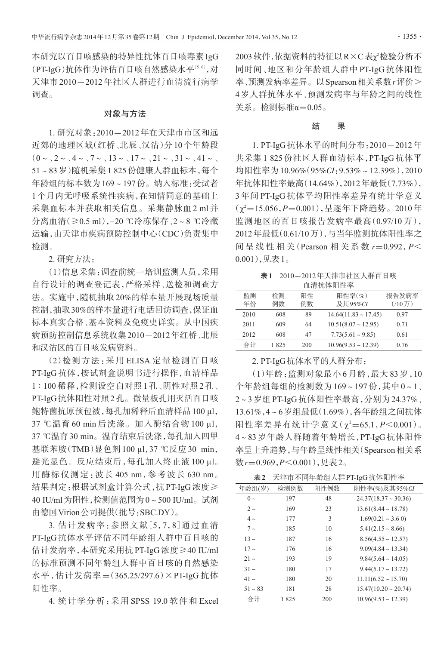本研究以百日咳感染的特异性抗体百日咳毒素IgG (PT-IgG)抗体作为评估百日咳自然感染水平[5,6],对 天津市 2010-2012 年社区人群进行血清流行病学 调查。

#### 对象与方法

1. 研究对象:2010-2012年在天津市市区和远 近郊的地理区域(红桥、北辰、汉沽)分10个年龄段  $(0 \sim \sqrt{2} \sim \sqrt{4} \sim \sqrt{7} \sim \sqrt{13} \sim \sqrt{17} \sim \sqrt{21} \sim \sqrt{31} \sim \sqrt{41} \sim \sqrt{21}$ 51~83岁)随机采集1 825份健康人群血标本,每个 年龄组的标本数为169~197份。纳入标准:受试者 1 个月内无呼吸系统性疾病,在知情同意的基础上 采集血标本并获取相关信息。采集静脉血 2 ml 并 分离血清(≥0.5 ml),-20 ℃冷冻保存、2~8 ℃冷藏 运输,由天津市疾病预防控制中心(CDC)负责集中 检测。

2. 研究方法:

(1)信息采集:调查前统一培训监测人员,采用 自行设计的调查登记表,严格采样、送检和调查方 法。实施中,随机抽取20%的样本量开展现场质量 控制,抽取30%的样本量进行电话回访调查,保证血 标本真实合格、基本资料及免疫史详实。从中国疾 病预防控制信息系统收集2010-2012年红桥、北辰 和汉沽区的百日咳发病资料。

(2)检测方法:采用 ELISA 定量检测百日咳 PT-IgG 抗体,按试剂盒说明书进行操作,血清样品 1 ∶ 100 稀释,检测设空白对照 1 孔、阴性对照 2 孔、 PT-IgG抗体阳性对照2孔。微量板孔用灭活百日咳 鲍特菌抗原预包被,每孔加稀释后血清样品100 μl, 37 ℃温育 60 min 后洗涤。加入酶结合物 100 μl, 37 ℃温育30 min。温育结束后洗涤,每孔加入四甲 基联苯胺(TMB)显色剂 100 μl,37 ℃反应 30 min, 避光显色。反应结束后,每孔加入终止液 100 μl。 用酶标仪测定:波长 405 nm,参考波长 630 nm。 结果判定:根据试剂盒计算公式,抗 PT-IgG 浓度≥ 40 IU/ml为阳性,检测值范围为0~500 IU/ml。试剂 由德国Virion公司提供(批号:SBC.DY)。

3. 估计发病率:参照文献[5,7,8]通过血清 PT-IgG抗体水平评估不同年龄组人群中百日咳的 估计发病率,本研究采用抗 PT-IgG 浓度≥40 IU/ml 的标准预测不同年龄组人群中百日咳的自然感染 水平,估计发病率=(365.25/297.6)×PT-IgG 抗体 阳性率。

4. 统计学分析:采用 SPSS 19.0 软件和 Excel

2003 软件,依据资料的特征以 R×C表χ<sup>2</sup>检验分析不 同时间、地区和分年龄组人群中 PT-IgG 抗体阳性 率、预测发病率差异。以Spearson相关系数r评价> 4 岁人群抗体水平、预测发病率与年龄之间的线性 关系。检测标准α=0.05。

## 结 果

1. PT-IgG抗体水平的时间分布:2010-2012年 共采集 1 825 份社区人群血清标本,PT-IgG 抗体平 均阳性率为10.96%(95%CI:9.53%~12.39%),2010 年抗体阳性率最高(14.64%),2012年最低(7.73%), 3 年间 PT-IgG 抗体平均阳性率差异有统计学意义  $(\chi^2$ =15.056,P=0.001),呈逐年下降趋势。2010年 监测地区的百日咳报告发病率最高(0.97/10 万), 2012年最低(0.61/10万),与当年监测抗体阳性率之 间呈线性相关(Pearson 相关系数 r=0.992, P< 0.001),见表1。

表1 2010-2012年天津市社区人群百日咳 血清抗体阳性率

| 监测   | 检测   | 阳性  | 阳性率(%)                    | 报告发病率 |
|------|------|-----|---------------------------|-------|
| 年份   | 例数   | 例数  | 及其95%CI                   | (710) |
| 2010 | 608  | 89  | $14.64(11.83 \sim 17.45)$ | 0.97  |
| 2011 | 609  | 64  | $10.51(8.07 \sim 12.95)$  | 0.71  |
| 2012 | 608  | 47  | $7.73(5.61 \sim 9.85)$    | 0.61  |
| 合计   | 1825 | 200 | $10.96(9.53 \sim 12.39)$  | 0.76  |

2. PT-IgG抗体水平的人群分布:

(1)年龄:监测对象最小 6 月龄,最大 83 岁,10 个年龄组每组的检测数为 169~197 份,其中 0~1、 2~3岁组PT-IgG抗体阳性率最高,分别为24.37%、 13.61%,4~6岁组最低(1.69%),各年龄组之间抗体 阳性率差异有统计学意义(χ2=65.1, P<0.001)。 4~83 岁年龄人群随着年龄增长,PT-IgG 抗体阳性 率呈上升趋势,与年龄呈线性相关(Spearson相关系 数 $r=0.969, P<0.001$ ),见表2。

| 表2 |  | 天津市不同年龄组人群PT-IgG抗体阳性率 |
|----|--|-----------------------|
|----|--|-----------------------|

| ~~           |      |      | ノヽヿギヿ!? ( ! `! ") `   ` #\ {!!ノヽ゚!!T ! _ !~!ゟ゚゙゙゙ヷ゙ヷヷヸ゚゚゚゚゚゚゚ゖ゚゚゚゚゚゚゚゚゚ゖヿヹ゠゚ヸ |
|--------------|------|------|-------------------------------------------------------------------------------|
| 年龄组(岁)       | 检测例数 | 阳性例数 | 阳性率(%)及其95%CI                                                                 |
| $0 \sim$     | 197  | 48   | $24.37(18.37 \sim 30.36)$                                                     |
| $2\sim$      | 169  | 23   | $13.61(8.44 \sim 18.78)$                                                      |
| $4\sim$      | 177  | 3    | $1.69(0.21 \sim 3.60)$                                                        |
| $7\sim$      | 185  | 10   | $5.41(2.15 \sim 8.66)$                                                        |
| $13 \sim$    | 187  | 16   | $8.56(4.55 \sim 12.57)$                                                       |
| $17 -$       | 176  | 16   | $9.09(4.84 \sim 13.34)$                                                       |
| $21 -$       | 193  | 19   | $9.84(5.64 \sim 14.05)$                                                       |
| $31 -$       | 180  | 17   | $9.44(5.17 \sim 13.72)$                                                       |
| $41 -$       | 180  | 20   | $11.11(6.52 \sim 15.70)$                                                      |
| $51 \sim 83$ | 181  | 28   | $15.47(10.20 \approx 20.74)$                                                  |
| 合计           | 1825 | 200  | $10.96(9.53 \sim 12.39)$                                                      |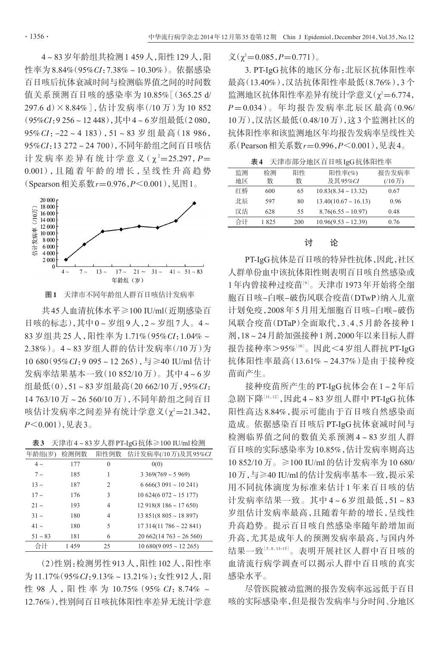4~83岁年龄组共检测1 459人,阳性129人,阳 性率为8.84%(95%CI:7.38%~10.30%)。依据感染 百日咳后抗体衰减时间与检测临界值之间的时间数 值关系预测百日咳的感染率为 10.85%[(365.25 d/ 297.6 d)×8.84%],估计发病率(/10 万)为 10 852 (95%CI:9 256~12 448),其中4~6岁组最低(2 080,  $95\% CI: -22 \sim 4$  183),  $51 \sim 83$  岁组最高(18 986, 95%CI:13 272~24 700),不同年龄组之间百日咳估 计 发 病 率 差 异 有 统 计 学 意 义 ( χ <del>'</del> = 25.297, P = 0.001),且 随 着 年 龄 的 增 长 ,呈 线 性 升 高 趋 势 (Spearson相关系数r=0.976,P<0.001),见图1。



图1 天津市不同年龄组人群百日咳估计发病率

共45人血清抗体水平≥100 IU/ml(近期感染百 日咳的标志),其中0~岁组9人,2~岁组7人。4~ 83 岁组共 25 人,阳性率为 1.71%(95%CI:1.04%~ 2.38%)。4~83 岁组人群的估计发病率(/10 万)为 10 680(95%CI:9 095~12 265),与≥40 IU/ml 估计 发病率结果基本一致(10 852/10万)。其中4~6岁 组最低(0),51~83岁组最高(20 662/10万,95%CI: 14 763/10 万~26 560/10 万),不同年龄组之间百日 咳估计发病率之间差异有统计学意义(χ²=21.342,  $P \leq 0.001$ ),见表3。

表3 天津市4~83岁人群PT-IgG抗体≥100 IU/ml检测

| 年龄组(岁)    | 检测例数 | 阳性例数          | 估计发病率(/10万)及其95%CI           |
|-----------|------|---------------|------------------------------|
| $4\sim$   | 177  | $\theta$      | 0(0)                         |
| $7\sim$   | 185  | 1             | $3\,369(769 \sim 5\,969)$    |
| $13 \sim$ | 187  | $\mathcal{L}$ | $6666(3091 \sim 10241)$      |
| $17 -$    | 176  | 3             | $10624(6072 \sim 15177)$     |
| $21 -$    | 193  | 4             | $12918(8186 \sim 17650)$     |
| $31 -$    | 180  | 4             | $13851(8805 \sim 18897)$     |
| $41 -$    | 180  | 5             | $17314(11786 \approx 22841)$ |
| $51 - 83$ | 181  | 6             | $20662(14763 \approx 26560)$ |
| 合计        | 1459 | 25            | $10680(9095 \sim 12265)$     |

(2)性别:检测男性913人,阳性102人,阳性率 为11.17%(95%CI:9.13%~13.21%);女性912人,阳 性 98 人, 阳性率为 10.75% (95% CI: 8.74% ~ 12.76%),性别间百日咳抗体阳性率差异无统计学意

 $\chi(\chi^2=0.085, P=0.771)$ 。

3. PT-IgG抗体的地区分布:北辰区抗体阳性率 最高(13.40%),汉沽抗体阳性率最低(8.76%),3 个 监测地区抗体阳性率差异有统计学意义(χ²=6.774,  $P = 0.034$ )。年均报告发病率北辰区最高 $(0.96/$ 10万),汉沽区最低(0.48/10万),这3个监测社区的 抗体阳性率和该监测地区年均报告发病率呈线性关 系(Pearson相关系数r=0.996,P<0.001),见表4。

表4 天津市部分地区百日咳IgG抗体阳性率

| 监测 | 检测   | 阳性  | 阳性率(%)                    | 报告发病率     |
|----|------|-----|---------------------------|-----------|
| 地区 | 数    | 数   | 及其95%CI                   | $(10)$ 万) |
| 红桥 | 600  | 65  | $10.83(8.34 \sim 13.32)$  | 0.67      |
| 北辰 | 597  | 80  | $13.40(10.67 \sim 16.13)$ | 0.96      |
| 汉沽 | 628  | 55  | $8.76(6.55 \sim 10.97)$   | 0.48      |
| 合计 | 1825 | 200 | $10.96(9.53 \sim 12.39)$  | 0.76      |

## 讨 论

PT-IgG抗体是百日咳的特异性抗体,因此,社区 人群单份血中该抗体阳性则表明百日咳自然感染或 1年内曾接种过疫苗[<sup>9</sup>] 。天津市1973年开始将全细 胞百日咳-白喉-破伤风联合疫苗(DTwP)纳入儿童 计划免疫,2008年5月用无细胞百日咳-白喉-破伤 风联合疫苗(DTaP)全面取代,3、4、5 月龄各接种 1 剂,18~24月龄加强接种1剂,2000年以来目标人群 报告接种率>95%[10]。因此<4岁组人群抗PT-IgG 抗体阳性率最高(13.61%~24.37%)是由于接种疫 苗而产生。

接种疫苗所产生的PT-IgG抗体会在1~2年后 急剧下降[11,12],因此4~83岁组人群中PT-IgG抗体 阳性高达 8.84%,提示可能由于百日咳自然感染而 造成。依据感染百日咳后 PT-IgG 抗体衰减时间与 检测临界值之间的数值关系预测 4~83 岁组人群 百日咳的实际感染率为10.85%,估计发病率则高达 10 852/10万。≥100 IU/ml的估计发病率为10 680/ 10万,与≥40 IU/ml的估计发病率基本一致,提示采 用不同抗体滴度为标准来估计 1 年来百日咳的估 计发病率结果一致。其中 4~6 岁组最低,51~83 岁组估计发病率最高,且随着年龄的增长,呈线性 升高趋势。提示百日咳自然感染率随年龄增加而 升高,尤其是成年人的预测发病率最高,与国内外 结果一致[<sup>5</sup>,8,13-15] 。表明开展社区人群中百日咳的 血清流行病学调查可以揭示人群中百日咳的真实 感染水平。

尽管医院被动监测的报告发病率远远低于百日 咳的实际感染率,但是报告发病率与分时间、分地区